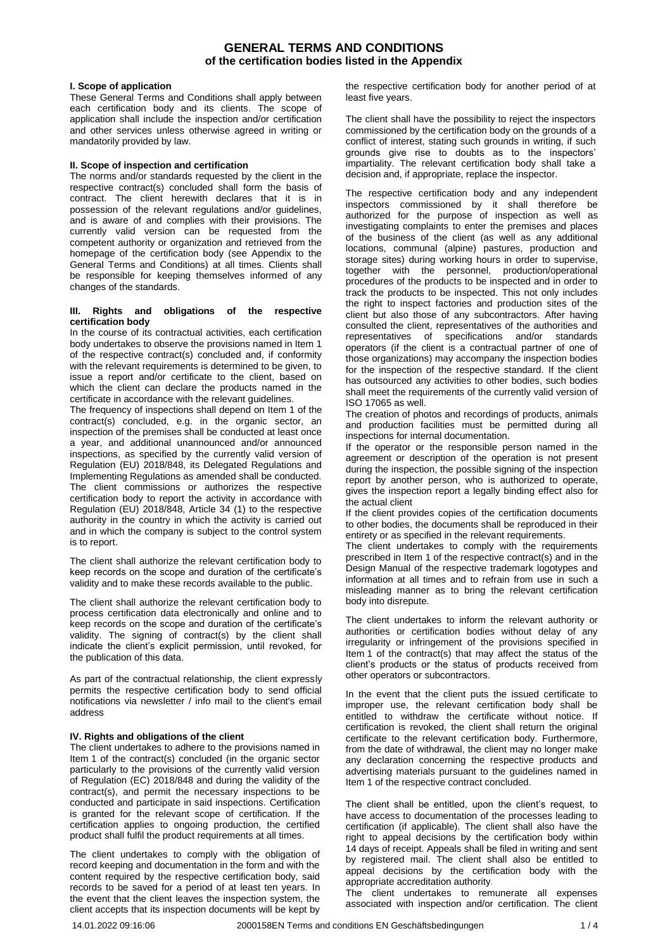## **GENERAL TERMS AND CONDITIONS of the certification bodies listed in the Appendix**

#### **I. Scope of application**

These General Terms and Conditions shall apply between each certification body and its clients. The scope of application shall include the inspection and/or certification and other services unless otherwise agreed in writing or mandatorily provided by law.

#### **II. Scope of inspection and certification**

The norms and/or standards requested by the client in the respective contract(s) concluded shall form the basis of contract. The client herewith declares that it is in possession of the relevant regulations and/or guidelines, and is aware of and complies with their provisions. The currently valid version can be requested from the competent authority or organization and retrieved from the homepage of the certification body (see Appendix to the General Terms and Conditions) at all times. Clients shall be responsible for keeping themselves informed of any changes of the standards.

#### **III. Rights and obligations of the respective certification body**

In the course of its contractual activities, each certification body undertakes to observe the provisions named in Item 1 of the respective contract(s) concluded and, if conformity with the relevant requirements is determined to be given, to issue a report and/or certificate to the client, based on which the client can declare the products named in the certificate in accordance with the relevant guidelines.

The frequency of inspections shall depend on Item 1 of the contract(s) concluded, e.g. in the organic sector, an inspection of the premises shall be conducted at least once a year, and additional unannounced and/or announced inspections, as specified by the currently valid version of Regulation (EU) 2018/848, its Delegated Regulations and Implementing Regulations as amended shall be conducted. The client commissions or authorizes the respective certification body to report the activity in accordance with Regulation (EU) 2018/848, Article 34 (1) to the respective authority in the country in which the activity is carried out and in which the company is subject to the control system is to report.

The client shall authorize the relevant certification body to keep records on the scope and duration of the certificate's validity and to make these records available to the public.

The client shall authorize the relevant certification body to process certification data electronically and online and to keep records on the scope and duration of the certificate's validity. The signing of contract(s) by the client shall indicate the client's explicit permission, until revoked, for the publication of this data.

As part of the contractual relationship, the client expressly permits the respective certification body to send official notifications via newsletter / info mail to the client's email address

#### **IV. Rights and obligations of the client**

The client undertakes to adhere to the provisions named in Item 1 of the contract(s) concluded (in the organic sector particularly to the provisions of the currently valid version of Regulation (EC) 2018/848 and during the validity of the contract(s), and permit the necessary inspections to be conducted and participate in said inspections. Certification is granted for the relevant scope of certification. If the certification applies to ongoing production, the certified product shall fulfil the product requirements at all times.

The client undertakes to comply with the obligation of record keeping and documentation in the form and with the content required by the respective certification body, said records to be saved for a period of at least ten years. In the event that the client leaves the inspection system, the client accepts that its inspection documents will be kept by

the respective certification body for another period of at least five years.

The client shall have the possibility to reject the inspectors commissioned by the certification body on the grounds of a conflict of interest, stating such grounds in writing, if such grounds give rise to doubts as to the inspectors' impartiality. The relevant certification body shall take a decision and, if appropriate, replace the inspector.

The respective certification body and any independent inspectors commissioned by it shall therefore be authorized for the purpose of inspection as well as investigating complaints to enter the premises and places of the business of the client (as well as any additional locations, communal (alpine) pastures, production and storage sites) during working hours in order to supervise, together with the personnel, production/operational procedures of the products to be inspected and in order to track the products to be inspected. This not only includes the right to inspect factories and production sites of the client but also those of any subcontractors. After having consulted the client, representatives of the authorities and representatives of specifications and/or standards operators (if the client is a contractual partner of one of those organizations) may accompany the inspection bodies for the inspection of the respective standard. If the client has outsourced any activities to other bodies, such bodies shall meet the requirements of the currently valid version of ISO 17065 as well.

The creation of photos and recordings of products, animals and production facilities must be permitted during all inspections for internal documentation.

If the operator or the responsible person named in the agreement or description of the operation is not present during the inspection, the possible signing of the inspection report by another person, who is authorized to operate, gives the inspection report a legally binding effect also for the actual client

If the client provides copies of the certification documents to other bodies, the documents shall be reproduced in their entirety or as specified in the relevant requirements.

The client undertakes to comply with the requirements prescribed in Item 1 of the respective contract(s) and in the Design Manual of the respective trademark logotypes and information at all times and to refrain from use in such a misleading manner as to bring the relevant certification body into disrepute.

The client undertakes to inform the relevant authority or authorities or certification bodies without delay of any irregularity or infringement of the provisions specified in Item 1 of the contract(s) that may affect the status of the client's products or the status of products received from other operators or subcontractors.

In the event that the client puts the issued certificate to improper use, the relevant certification body shall be entitled to withdraw the certificate without notice. If certification is revoked, the client shall return the original certificate to the relevant certification body. Furthermore, from the date of withdrawal, the client may no longer make any declaration concerning the respective products and advertising materials pursuant to the guidelines named in Item 1 of the respective contract concluded.

The client shall be entitled, upon the client's request, to have access to documentation of the processes leading to certification (if applicable). The client shall also have the right to appeal decisions by the certification body within 14 days of receipt. Appeals shall be filed in writing and sent by registered mail. The client shall also be entitled to appeal decisions by the certification body with the appropriate accreditation authority.

The client undertakes to remunerate all expenses associated with inspection and/or certification. The client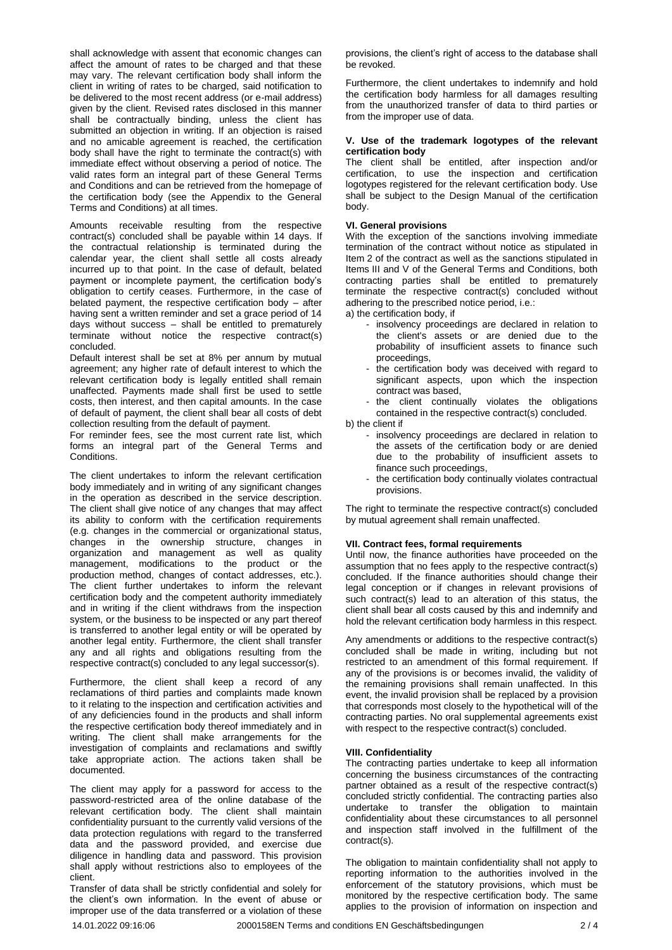shall acknowledge with assent that economic changes can affect the amount of rates to be charged and that these may vary. The relevant certification body shall inform the client in writing of rates to be charged, said notification to be delivered to the most recent address (or e-mail address) given by the client. Revised rates disclosed in this manner shall be contractually binding, unless the client has submitted an objection in writing. If an objection is raised and no amicable agreement is reached, the certification body shall have the right to terminate the contract(s) with immediate effect without observing a period of notice. The valid rates form an integral part of these General Terms and Conditions and can be retrieved from the homepage of the certification body (see the Appendix to the General Terms and Conditions) at all times.

Amounts receivable resulting from the respective contract(s) concluded shall be payable within 14 days. If the contractual relationship is terminated during the calendar year, the client shall settle all costs already incurred up to that point. In the case of default, belated payment or incomplete payment, the certification body's obligation to certify ceases. Furthermore, in the case of belated payment, the respective certification body – after having sent a written reminder and set a grace period of 14 days without success – shall be entitled to prematurely terminate without notice the respective contract(s) concluded.

Default interest shall be set at 8% per annum by mutual agreement; any higher rate of default interest to which the relevant certification body is legally entitled shall remain unaffected. Payments made shall first be used to settle costs, then interest, and then capital amounts. In the case of default of payment, the client shall bear all costs of debt collection resulting from the default of payment.

For reminder fees, see the most current rate list, which forms an integral part of the General Terms and Conditions.

The client undertakes to inform the relevant certification body immediately and in writing of any significant changes in the operation as described in the service description. The client shall give notice of any changes that may affect its ability to conform with the certification requirements (e.g. changes in the commercial or organizational status, changes in the ownership structure, changes in organization and management as well as quality management, modifications to the product or the production method, changes of contact addresses, etc.). The client further undertakes to inform the relevant certification body and the competent authority immediately and in writing if the client withdraws from the inspection system, or the business to be inspected or any part thereof is transferred to another legal entity or will be operated by another legal entity. Furthermore, the client shall transfer any and all rights and obligations resulting from the respective contract(s) concluded to any legal successor(s).

Furthermore, the client shall keep a record of any reclamations of third parties and complaints made known to it relating to the inspection and certification activities and of any deficiencies found in the products and shall inform the respective certification body thereof immediately and in writing. The client shall make arrangements for the investigation of complaints and reclamations and swiftly take appropriate action. The actions taken shall be documented.

The client may apply for a password for access to the password-restricted area of the online database of the relevant certification body. The client shall maintain confidentiality pursuant to the currently valid versions of the data protection regulations with regard to the transferred data and the password provided, and exercise due diligence in handling data and password. This provision shall apply without restrictions also to employees of the client.

Transfer of data shall be strictly confidential and solely for the client's own information. In the event of abuse or improper use of the data transferred or a violation of these

provisions, the client's right of access to the database shall be revoked.

Furthermore, the client undertakes to indemnify and hold the certification body harmless for all damages resulting from the unauthorized transfer of data to third parties or from the improper use of data.

#### **V. Use of the trademark logotypes of the relevant certification body**

The client shall be entitled, after inspection and/or certification, to use the inspection and certification logotypes registered for the relevant certification body. Use shall be subject to the Design Manual of the certification body.

### **VI. General provisions**

With the exception of the sanctions involving immediate termination of the contract without notice as stipulated in Item 2 of the contract as well as the sanctions stipulated in Items III and V of the General Terms and Conditions, both contracting parties shall be entitled to prematurely terminate the respective contract(s) concluded without adhering to the prescribed notice period, i.e.:

a) the certification body, if

- insolvency proceedings are declared in relation to the client's assets or are denied due to the probability of insufficient assets to finance such proceedings,
- the certification body was deceived with regard to significant aspects, upon which the inspection contract was based,

the client continually violates the obligations contained in the respective contract(s) concluded.

- b) the client if
	- insolvency proceedings are declared in relation to the assets of the certification body or are denied due to the probability of insufficient assets to finance such proceedings,
	- the certification body continually violates contractual provisions.

The right to terminate the respective contract(s) concluded by mutual agreement shall remain unaffected.

### **VII. Contract fees, formal requirements**

Until now, the finance authorities have proceeded on the assumption that no fees apply to the respective contract(s) concluded. If the finance authorities should change their legal conception or if changes in relevant provisions of such contract(s) lead to an alteration of this status, the client shall bear all costs caused by this and indemnify and hold the relevant certification body harmless in this respect.

Any amendments or additions to the respective contract(s) concluded shall be made in writing, including but not restricted to an amendment of this formal requirement. If any of the provisions is or becomes invalid, the validity of the remaining provisions shall remain unaffected. In this event, the invalid provision shall be replaced by a provision that corresponds most closely to the hypothetical will of the contracting parties. No oral supplemental agreements exist with respect to the respective contract(s) concluded.

### **VIII. Confidentiality**

The contracting parties undertake to keep all information concerning the business circumstances of the contracting partner obtained as a result of the respective contract(s) concluded strictly confidential. The contracting parties also undertake to transfer the obligation to maintain confidentiality about these circumstances to all personnel and inspection staff involved in the fulfillment of the contract(s).

The obligation to maintain confidentiality shall not apply to reporting information to the authorities involved in the enforcement of the statutory provisions, which must be monitored by the respective certification body. The same applies to the provision of information on inspection and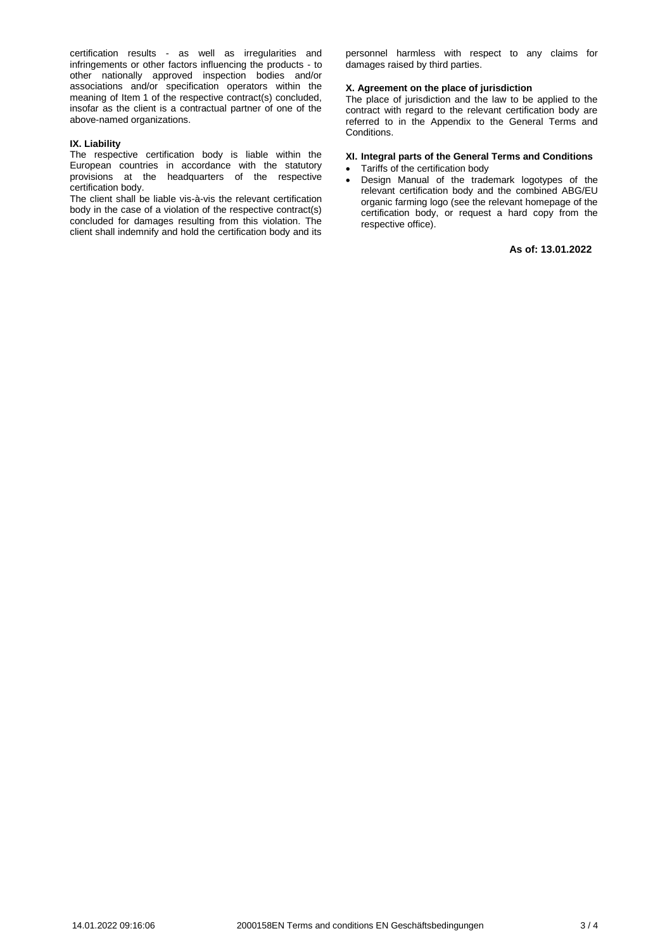certification results - as well as irregularities and infringements or other factors influencing the products - to other nationally approved inspection bodies and/or associations and/or specification operators within the meaning of Item 1 of the respective contract(s) concluded, insofar as the client is a contractual partner of one of the above-named organizations.

## **IX. Liability**

The respective certification body is liable within the European countries in accordance with the statutory provisions at the headquarters of the respective certification body.

The client shall be liable vis-à-vis the relevant certification body in the case of a violation of the respective contract(s) concluded for damages resulting from this violation. The client shall indemnify and hold the certification body and its personnel harmless with respect to any claims for damages raised by third parties.

#### **X. Agreement on the place of jurisdiction**

The place of jurisdiction and the law to be applied to the contract with regard to the relevant certification body are referred to in the Appendix to the General Terms and Conditions.

## **XI. Integral parts of the General Terms and Conditions**

- Tariffs of the certification body
- Design Manual of the trademark logotypes of the relevant certification body and the combined ABG/EU organic farming logo (see the relevant homepage of the certification body, or request a hard copy from the respective office).

**As of: 13.01.2022**